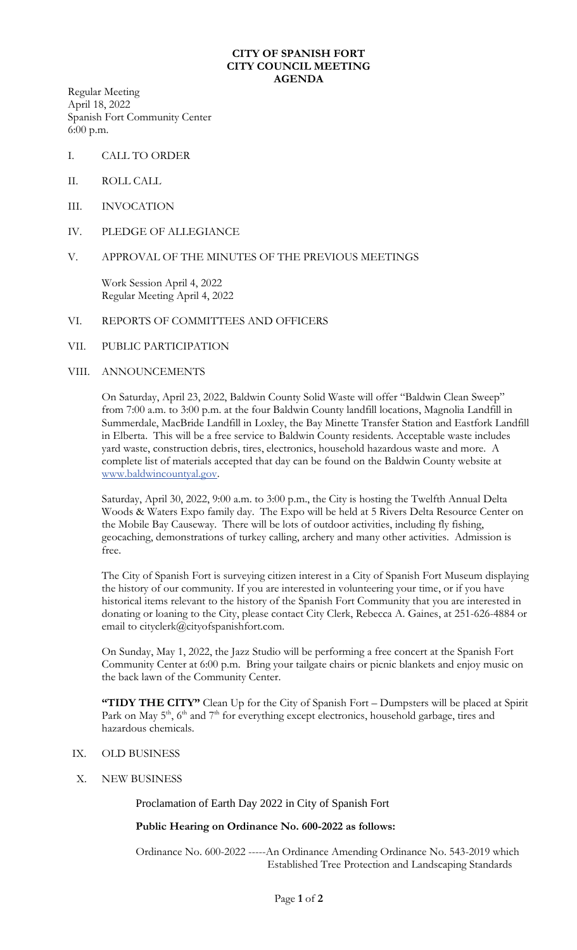#### **CITY OF SPANISH FORT CITY COUNCIL MEETING AGENDA**

Regular Meeting April 18, 2022 Spanish Fort Community Center 6:00 p.m.

- I. CALL TO ORDER
- II. ROLL CALL
- III. INVOCATION
- IV. PLEDGE OF ALLEGIANCE

## V. APPROVAL OF THE MINUTES OF THE PREVIOUS MEETINGS

Work Session April 4, 2022 Regular Meeting April 4, 2022

#### VI. REPORTS OF COMMITTEES AND OFFICERS

## VII. PUBLIC PARTICIPATION

## VIII. ANNOUNCEMENTS

On Saturday, April 23, 2022, Baldwin County Solid Waste will offer "Baldwin Clean Sweep" from 7:00 a.m. to 3:00 p.m. at the four Baldwin County landfill locations, Magnolia Landfill in Summerdale, MacBride Landfill in Loxley, the Bay Minette Transfer Station and Eastfork Landfill in Elberta. This will be a free service to Baldwin County residents. Acceptable waste includes yard waste, construction debris, tires, electronics, household hazardous waste and more. A complete list of materials accepted that day can be found on the Baldwin County website at [www.baldwincountyal.gov.](http://www.baldwincountyal.gov/)

Saturday, April 30, 2022, 9:00 a.m. to 3:00 p.m., the City is hosting the Twelfth Annual Delta Woods & Waters Expo family day. The Expo will be held at 5 Rivers Delta Resource Center on the Mobile Bay Causeway. There will be lots of outdoor activities, including fly fishing, geocaching, demonstrations of turkey calling, archery and many other activities. Admission is free.

The City of Spanish Fort is surveying citizen interest in a City of Spanish Fort Museum displaying the history of our community. If you are interested in volunteering your time, or if you have historical items relevant to the history of the Spanish Fort Community that you are interested in donating or loaning to the City, please contact City Clerk, Rebecca A. Gaines, at 251-626-4884 or email to cityclerk@cityofspanishfort.com.

On Sunday, May 1, 2022, the Jazz Studio will be performing a free concert at the Spanish Fort Community Center at 6:00 p.m. Bring your tailgate chairs or picnic blankets and enjoy music on the back lawn of the Community Center.

**"TIDY THE CITY"** Clean Up for the City of Spanish Fort – Dumpsters will be placed at Spirit Park on May  $5<sup>th</sup>$ ,  $6<sup>th</sup>$  and  $7<sup>th</sup>$  for everything except electronics, household garbage, tires and hazardous chemicals.

- IX. OLD BUSINESS
- X. NEW BUSINESS

Proclamation of Earth Day 2022 in City of Spanish Fort

# **Public Hearing on Ordinance No. 600-2022 as follows:**

Ordinance No. 600-2022 -----An Ordinance Amending Ordinance No. 543-2019 which Established Tree Protection and Landscaping Standards